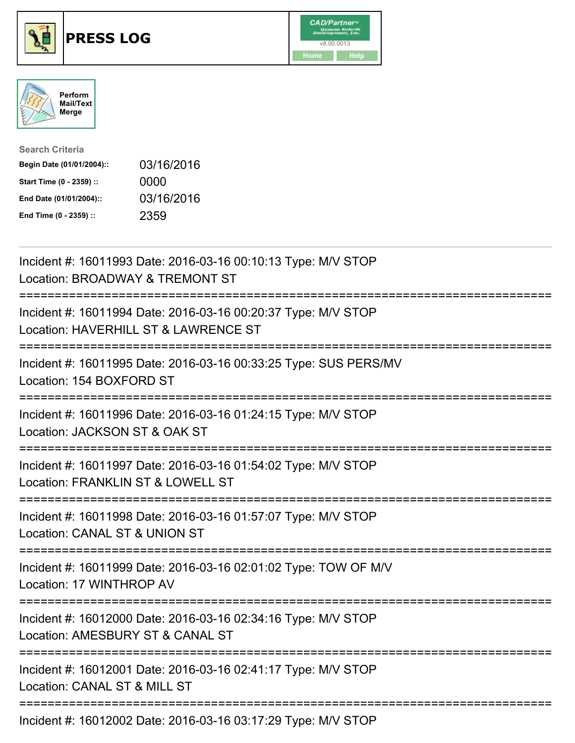





| <b>Search Criteria</b>    |            |
|---------------------------|------------|
| Begin Date (01/01/2004):: | 03/16/2016 |
| Start Time (0 - 2359) ::  | 0000       |
| End Date (01/01/2004)::   | 03/16/2016 |
| End Time (0 - 2359) ::    | 2359       |

| Incident #: 16011993 Date: 2016-03-16 00:10:13 Type: M/V STOP<br>Location: BROADWAY & TREMONT ST                                |  |
|---------------------------------------------------------------------------------------------------------------------------------|--|
| Incident #: 16011994 Date: 2016-03-16 00:20:37 Type: M/V STOP<br>Location: HAVERHILL ST & LAWRENCE ST                           |  |
| Incident #: 16011995 Date: 2016-03-16 00:33:25 Type: SUS PERS/MV<br>Location: 154 BOXFORD ST                                    |  |
| Incident #: 16011996 Date: 2016-03-16 01:24:15 Type: M/V STOP<br>Location: JACKSON ST & OAK ST                                  |  |
| Incident #: 16011997 Date: 2016-03-16 01:54:02 Type: M/V STOP<br>Location: FRANKLIN ST & LOWELL ST<br>========================= |  |
| Incident #: 16011998 Date: 2016-03-16 01:57:07 Type: M/V STOP<br>Location: CANAL ST & UNION ST<br>;========================     |  |
| Incident #: 16011999 Date: 2016-03-16 02:01:02 Type: TOW OF M/V<br>Location: 17 WINTHROP AV                                     |  |
| -------------------<br>Incident #: 16012000 Date: 2016-03-16 02:34:16 Type: M/V STOP<br>Location: AMESBURY ST & CANAL ST        |  |
| =========================<br>Incident #: 16012001 Date: 2016-03-16 02:41:17 Type: M/V STOP<br>Location: CANAL ST & MILL ST      |  |
| Incident #: 16012002 Date: 2016-03-16 03:17:29 Type: M/V STOP                                                                   |  |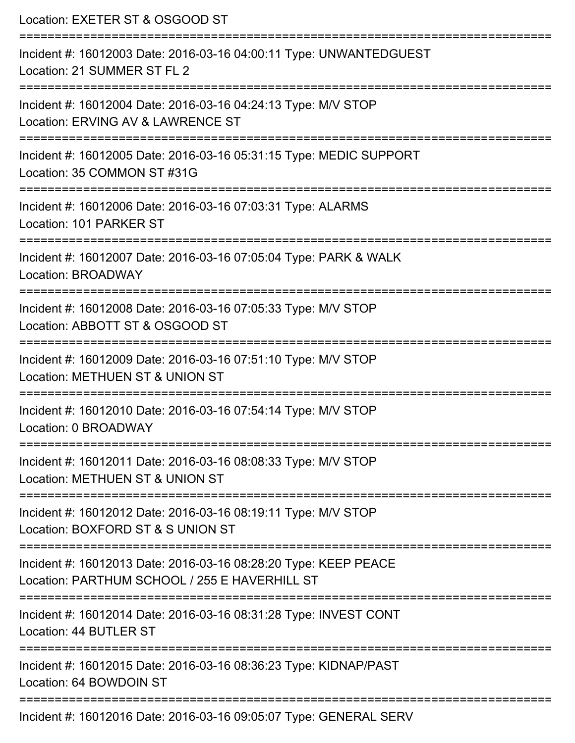| Location: EXETER ST & OSGOOD ST<br>===========================                                                          |  |
|-------------------------------------------------------------------------------------------------------------------------|--|
| Incident #: 16012003 Date: 2016-03-16 04:00:11 Type: UNWANTEDGUEST<br>Location: 21 SUMMER ST FL 2<br>:================= |  |
| Incident #: 16012004 Date: 2016-03-16 04:24:13 Type: M/V STOP<br>Location: ERVING AV & LAWRENCE ST                      |  |
| Incident #: 16012005 Date: 2016-03-16 05:31:15 Type: MEDIC SUPPORT<br>Location: 35 COMMON ST #31G                       |  |
| Incident #: 16012006 Date: 2016-03-16 07:03:31 Type: ALARMS<br>Location: 101 PARKER ST                                  |  |
| Incident #: 16012007 Date: 2016-03-16 07:05:04 Type: PARK & WALK<br><b>Location: BROADWAY</b>                           |  |
| Incident #: 16012008 Date: 2016-03-16 07:05:33 Type: M/V STOP<br>Location: ABBOTT ST & OSGOOD ST                        |  |
| Incident #: 16012009 Date: 2016-03-16 07:51:10 Type: M/V STOP<br>Location: METHUEN ST & UNION ST                        |  |
| Incident #: 16012010 Date: 2016-03-16 07:54:14 Type: M/V STOP<br>Location: 0 BROADWAY                                   |  |
| Incident #: 16012011 Date: 2016-03-16 08:08:33 Type: M/V STOP<br>Location: METHUEN ST & UNION ST                        |  |
| Incident #: 16012012 Date: 2016-03-16 08:19:11 Type: M/V STOP<br>Location: BOXFORD ST & S UNION ST                      |  |
| Incident #: 16012013 Date: 2016-03-16 08:28:20 Type: KEEP PEACE<br>Location: PARTHUM SCHOOL / 255 E HAVERHILL ST        |  |
| Incident #: 16012014 Date: 2016-03-16 08:31:28 Type: INVEST CONT<br>Location: 44 BUTLER ST                              |  |
| Incident #: 16012015 Date: 2016-03-16 08:36:23 Type: KIDNAP/PAST<br>Location: 64 BOWDOIN ST                             |  |
| Incident #: 16012016 Date: 2016-03-16 09:05:07 Type: GENERAL SERV                                                       |  |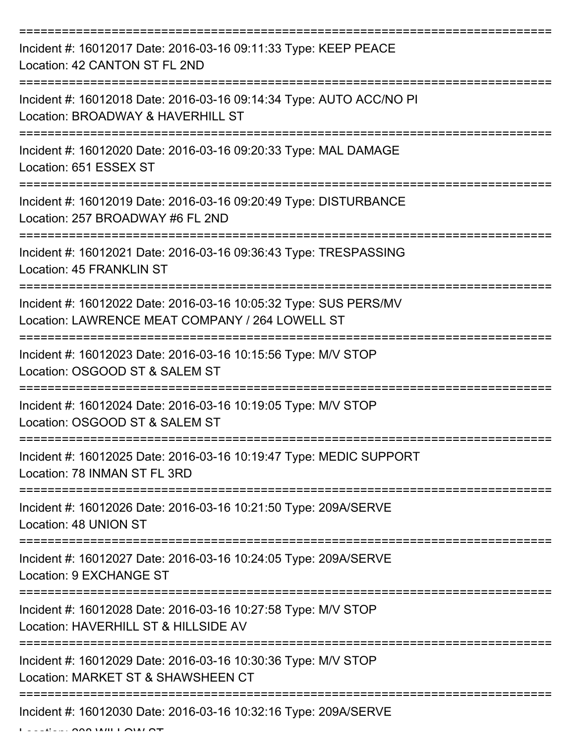| Incident #: 16012017 Date: 2016-03-16 09:11:33 Type: KEEP PEACE<br>Location: 42 CANTON ST FL 2ND                    |
|---------------------------------------------------------------------------------------------------------------------|
| Incident #: 16012018 Date: 2016-03-16 09:14:34 Type: AUTO ACC/NO PI<br>Location: BROADWAY & HAVERHILL ST            |
| Incident #: 16012020 Date: 2016-03-16 09:20:33 Type: MAL DAMAGE<br>Location: 651 ESSEX ST                           |
| Incident #: 16012019 Date: 2016-03-16 09:20:49 Type: DISTURBANCE<br>Location: 257 BROADWAY #6 FL 2ND                |
| Incident #: 16012021 Date: 2016-03-16 09:36:43 Type: TRESPASSING<br><b>Location: 45 FRANKLIN ST</b>                 |
| Incident #: 16012022 Date: 2016-03-16 10:05:32 Type: SUS PERS/MV<br>Location: LAWRENCE MEAT COMPANY / 264 LOWELL ST |
| Incident #: 16012023 Date: 2016-03-16 10:15:56 Type: M/V STOP<br>Location: OSGOOD ST & SALEM ST                     |
| Incident #: 16012024 Date: 2016-03-16 10:19:05 Type: M/V STOP<br>Location: OSGOOD ST & SALEM ST                     |
| Incident #: 16012025 Date: 2016-03-16 10:19:47 Type: MEDIC SUPPORT<br>Location: 78 INMAN ST FL 3RD                  |
| Incident #: 16012026 Date: 2016-03-16 10:21:50 Type: 209A/SERVE<br>Location: 48 UNION ST                            |
| Incident #: 16012027 Date: 2016-03-16 10:24:05 Type: 209A/SERVE<br>Location: 9 EXCHANGE ST                          |
| Incident #: 16012028 Date: 2016-03-16 10:27:58 Type: M/V STOP<br>Location: HAVERHILL ST & HILLSIDE AV               |
| Incident #: 16012029 Date: 2016-03-16 10:30:36 Type: M/V STOP<br>Location: MARKET ST & SHAWSHEEN CT                 |
| Incident #: 16012030 Date: 2016-03-16 10:32:16 Type: 209A/SERVE                                                     |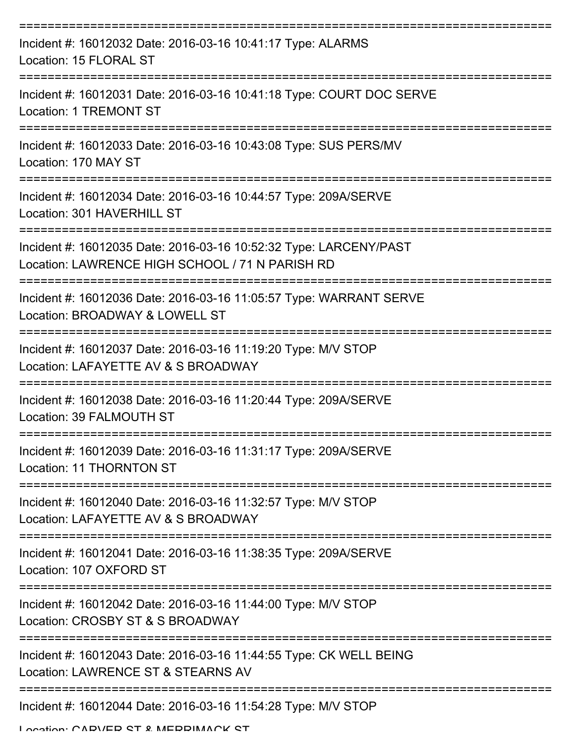| Incident #: 16012032 Date: 2016-03-16 10:41:17 Type: ALARMS<br>Location: 15 FLORAL ST                                 |
|-----------------------------------------------------------------------------------------------------------------------|
| Incident #: 16012031 Date: 2016-03-16 10:41:18 Type: COURT DOC SERVE<br>Location: 1 TREMONT ST                        |
| Incident #: 16012033 Date: 2016-03-16 10:43:08 Type: SUS PERS/MV<br>Location: 170 MAY ST<br>==================        |
| Incident #: 16012034 Date: 2016-03-16 10:44:57 Type: 209A/SERVE<br>Location: 301 HAVERHILL ST<br>==================== |
| Incident #: 16012035 Date: 2016-03-16 10:52:32 Type: LARCENY/PAST<br>Location: LAWRENCE HIGH SCHOOL / 71 N PARISH RD  |
| Incident #: 16012036 Date: 2016-03-16 11:05:57 Type: WARRANT SERVE<br>Location: BROADWAY & LOWELL ST                  |
| Incident #: 16012037 Date: 2016-03-16 11:19:20 Type: M/V STOP<br>Location: LAFAYETTE AV & S BROADWAY                  |
| Incident #: 16012038 Date: 2016-03-16 11:20:44 Type: 209A/SERVE<br>Location: 39 FALMOUTH ST                           |
| Incident #: 16012039 Date: 2016-03-16 11:31:17 Type: 209A/SERVE<br>Location: 11 THORNTON ST                           |
| Incident #: 16012040 Date: 2016-03-16 11:32:57 Type: M/V STOP<br>Location: LAFAYETTE AV & S BROADWAY                  |
| Incident #: 16012041 Date: 2016-03-16 11:38:35 Type: 209A/SERVE<br>Location: 107 OXFORD ST                            |
| Incident #: 16012042 Date: 2016-03-16 11:44:00 Type: M/V STOP<br>Location: CROSBY ST & S BROADWAY                     |
| Incident #: 16012043 Date: 2016-03-16 11:44:55 Type: CK WELL BEING<br>Location: LAWRENCE ST & STEARNS AV              |
| Incident #: 16012044 Date: 2016-03-16 11:54:28 Type: M/V STOP                                                         |

Location: CADVED CT & MEDDIMACK CT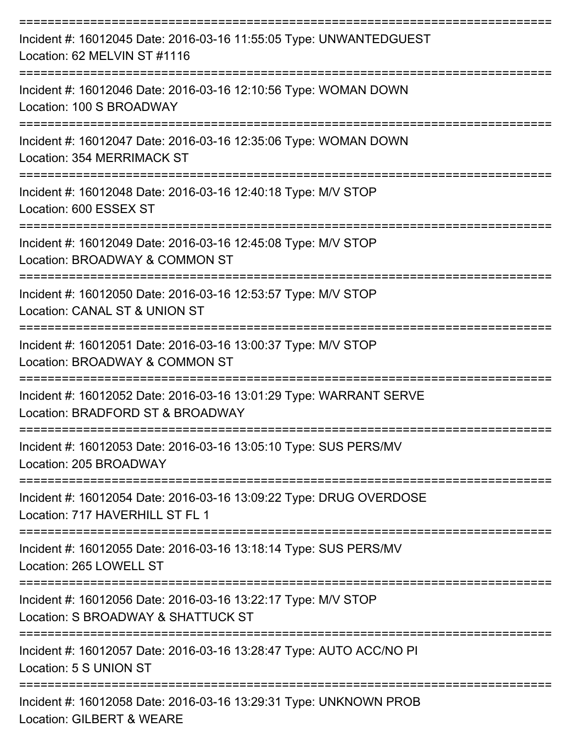| Incident #: 16012045 Date: 2016-03-16 11:55:05 Type: UNWANTEDGUEST<br>Location: 62 MELVIN ST #1116<br>-----------------------------  |
|--------------------------------------------------------------------------------------------------------------------------------------|
| Incident #: 16012046 Date: 2016-03-16 12:10:56 Type: WOMAN DOWN<br>Location: 100 S BROADWAY                                          |
| Incident #: 16012047 Date: 2016-03-16 12:35:06 Type: WOMAN DOWN<br>Location: 354 MERRIMACK ST                                        |
| Incident #: 16012048 Date: 2016-03-16 12:40:18 Type: M/V STOP<br>Location: 600 ESSEX ST                                              |
| ---------------------------------<br>Incident #: 16012049 Date: 2016-03-16 12:45:08 Type: M/V STOP<br>Location: BROADWAY & COMMON ST |
| Incident #: 16012050 Date: 2016-03-16 12:53:57 Type: M/V STOP<br>Location: CANAL ST & UNION ST                                       |
| Incident #: 16012051 Date: 2016-03-16 13:00:37 Type: M/V STOP<br>Location: BROADWAY & COMMON ST                                      |
| Incident #: 16012052 Date: 2016-03-16 13:01:29 Type: WARRANT SERVE<br>Location: BRADFORD ST & BROADWAY                               |
| Incident #: 16012053 Date: 2016-03-16 13:05:10 Type: SUS PERS/MV<br>Location: 205 BROADWAY                                           |
| Incident #: 16012054 Date: 2016-03-16 13:09:22 Type: DRUG OVERDOSE<br>Location: 717 HAVERHILL ST FL 1                                |
| Incident #: 16012055 Date: 2016-03-16 13:18:14 Type: SUS PERS/MV<br>Location: 265 LOWELL ST                                          |
| Incident #: 16012056 Date: 2016-03-16 13:22:17 Type: M/V STOP<br>Location: S BROADWAY & SHATTUCK ST                                  |
| Incident #: 16012057 Date: 2016-03-16 13:28:47 Type: AUTO ACC/NO PI<br>Location: 5 S UNION ST                                        |
| Incident #: 16012058 Date: 2016-03-16 13:29:31 Type: UNKNOWN PROB<br>Location: GILBERT & WEARE                                       |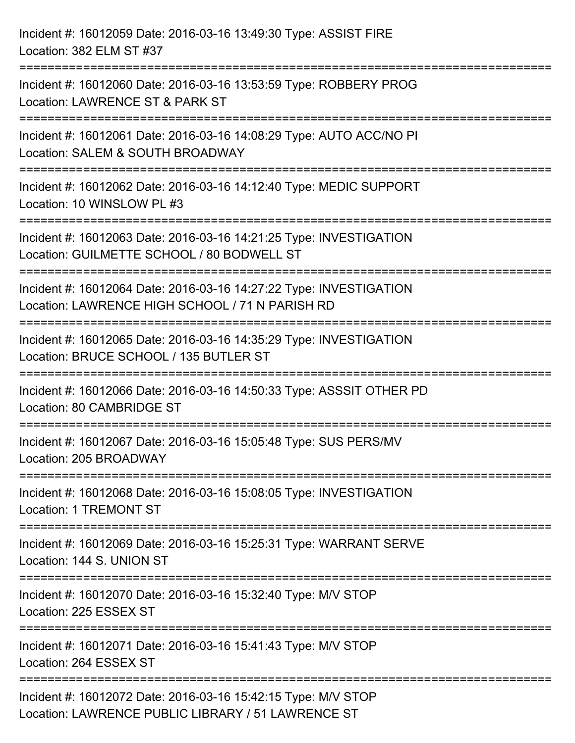| Incident #: 16012059 Date: 2016-03-16 13:49:30 Type: ASSIST FIRE<br>Location: 382 ELM ST #37                                         |
|--------------------------------------------------------------------------------------------------------------------------------------|
| Incident #: 16012060 Date: 2016-03-16 13:53:59 Type: ROBBERY PROG<br>Location: LAWRENCE ST & PARK ST                                 |
| Incident #: 16012061 Date: 2016-03-16 14:08:29 Type: AUTO ACC/NO PI<br>Location: SALEM & SOUTH BROADWAY<br>========================  |
| Incident #: 16012062 Date: 2016-03-16 14:12:40 Type: MEDIC SUPPORT<br>Location: 10 WINSLOW PL #3                                     |
| Incident #: 16012063 Date: 2016-03-16 14:21:25 Type: INVESTIGATION<br>Location: GUILMETTE SCHOOL / 80 BODWELL ST                     |
| Incident #: 16012064 Date: 2016-03-16 14:27:22 Type: INVESTIGATION<br>Location: LAWRENCE HIGH SCHOOL / 71 N PARISH RD                |
| Incident #: 16012065 Date: 2016-03-16 14:35:29 Type: INVESTIGATION<br>Location: BRUCE SCHOOL / 135 BUTLER ST<br>==================== |
| Incident #: 16012066 Date: 2016-03-16 14:50:33 Type: ASSSIT OTHER PD<br>Location: 80 CAMBRIDGE ST                                    |
| Incident #: 16012067 Date: 2016-03-16 15:05:48 Type: SUS PERS/MV<br>Location: 205 BROADWAY                                           |
| Incident #: 16012068 Date: 2016-03-16 15:08:05 Type: INVESTIGATION<br><b>Location: 1 TREMONT ST</b>                                  |
| Incident #: 16012069 Date: 2016-03-16 15:25:31 Type: WARRANT SERVE<br>Location: 144 S. UNION ST                                      |
| Incident #: 16012070 Date: 2016-03-16 15:32:40 Type: M/V STOP<br>Location: 225 ESSEX ST                                              |
| Incident #: 16012071 Date: 2016-03-16 15:41:43 Type: M/V STOP<br>Location: 264 ESSEX ST                                              |
| Incident #: 16012072 Date: 2016-03-16 15:42:15 Type: M/V STOP<br>Location: LAWRENCE PUBLIC LIBRARY / 51 LAWRENCE ST                  |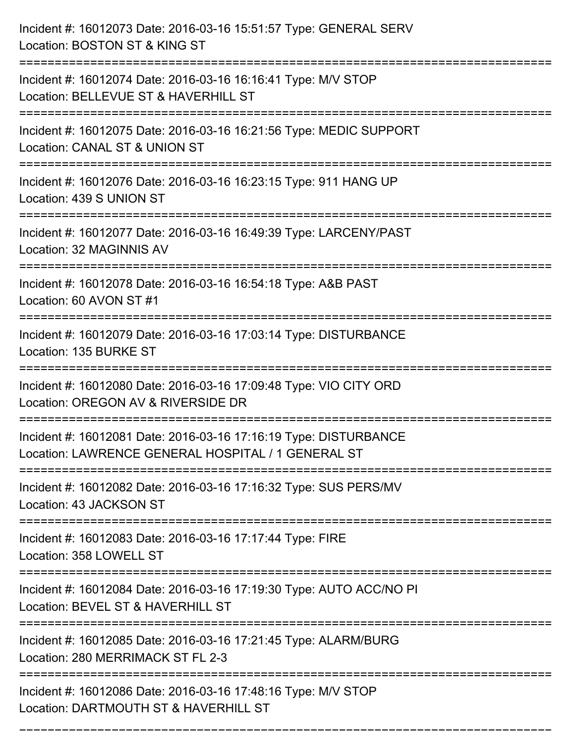| Incident #: 16012073 Date: 2016-03-16 15:51:57 Type: GENERAL SERV<br>Location: BOSTON ST & KING ST                             |
|--------------------------------------------------------------------------------------------------------------------------------|
| Incident #: 16012074 Date: 2016-03-16 16:16:41 Type: M/V STOP<br>Location: BELLEVUE ST & HAVERHILL ST                          |
| Incident #: 16012075 Date: 2016-03-16 16:21:56 Type: MEDIC SUPPORT<br>Location: CANAL ST & UNION ST<br>======================= |
| Incident #: 16012076 Date: 2016-03-16 16:23:15 Type: 911 HANG UP<br>Location: 439 S UNION ST                                   |
| Incident #: 16012077 Date: 2016-03-16 16:49:39 Type: LARCENY/PAST<br>Location: 32 MAGINNIS AV                                  |
| Incident #: 16012078 Date: 2016-03-16 16:54:18 Type: A&B PAST<br>Location: 60 AVON ST #1                                       |
| Incident #: 16012079 Date: 2016-03-16 17:03:14 Type: DISTURBANCE<br>Location: 135 BURKE ST                                     |
| Incident #: 16012080 Date: 2016-03-16 17:09:48 Type: VIO CITY ORD<br>Location: OREGON AV & RIVERSIDE DR                        |
| Incident #: 16012081 Date: 2016-03-16 17:16:19 Type: DISTURBANCE<br>Location: LAWRENCE GENERAL HOSPITAL / 1 GENERAL ST         |
| Incident #: 16012082 Date: 2016-03-16 17:16:32 Type: SUS PERS/MV<br>Location: 43 JACKSON ST                                    |
| Incident #: 16012083 Date: 2016-03-16 17:17:44 Type: FIRE<br>Location: 358 LOWELL ST                                           |
| Incident #: 16012084 Date: 2016-03-16 17:19:30 Type: AUTO ACC/NO PI<br>Location: BEVEL ST & HAVERHILL ST                       |
| Incident #: 16012085 Date: 2016-03-16 17:21:45 Type: ALARM/BURG<br>Location: 280 MERRIMACK ST FL 2-3                           |
| Incident #: 16012086 Date: 2016-03-16 17:48:16 Type: M/V STOP<br>Location: DARTMOUTH ST & HAVERHILL ST                         |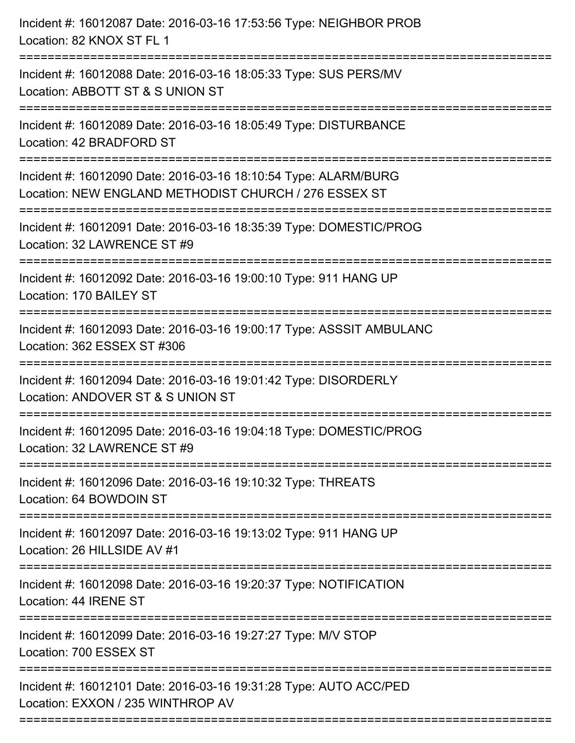| Location: NEW ENGLAND METHODIST CHURCH / 276 ESSEX ST<br>================================<br>:===================================<br>===================================<br>================ | Incident #: 16012087 Date: 2016-03-16 17:53:56 Type: NEIGHBOR PROB<br>Location: 82 KNOX ST FL 1        |
|----------------------------------------------------------------------------------------------------------------------------------------------------------------------------------------------|--------------------------------------------------------------------------------------------------------|
|                                                                                                                                                                                              | Incident #: 16012088 Date: 2016-03-16 18:05:33 Type: SUS PERS/MV<br>Location: ABBOTT ST & S UNION ST   |
|                                                                                                                                                                                              | Incident #: 16012089 Date: 2016-03-16 18:05:49 Type: DISTURBANCE<br>Location: 42 BRADFORD ST           |
|                                                                                                                                                                                              | Incident #: 16012090 Date: 2016-03-16 18:10:54 Type: ALARM/BURG                                        |
|                                                                                                                                                                                              | Incident #: 16012091 Date: 2016-03-16 18:35:39 Type: DOMESTIC/PROG<br>Location: 32 LAWRENCE ST #9      |
|                                                                                                                                                                                              | Incident #: 16012092 Date: 2016-03-16 19:00:10 Type: 911 HANG UP<br>Location: 170 BAILEY ST            |
|                                                                                                                                                                                              | Incident #: 16012093 Date: 2016-03-16 19:00:17 Type: ASSSIT AMBULANC<br>Location: 362 ESSEX ST #306    |
|                                                                                                                                                                                              | Incident #: 16012094 Date: 2016-03-16 19:01:42 Type: DISORDERLY<br>Location: ANDOVER ST & S UNION ST   |
|                                                                                                                                                                                              | Incident #: 16012095 Date: 2016-03-16 19:04:18 Type: DOMESTIC/PROG<br>Location: 32 LAWRENCE ST #9      |
|                                                                                                                                                                                              | Incident #: 16012096 Date: 2016-03-16 19:10:32 Type: THREATS<br>Location: 64 BOWDOIN ST                |
|                                                                                                                                                                                              | Incident #: 16012097 Date: 2016-03-16 19:13:02 Type: 911 HANG UP<br>Location: 26 HILLSIDE AV #1        |
|                                                                                                                                                                                              | Incident #: 16012098 Date: 2016-03-16 19:20:37 Type: NOTIFICATION<br>Location: 44 IRENE ST             |
|                                                                                                                                                                                              | Incident #: 16012099 Date: 2016-03-16 19:27:27 Type: M/V STOP<br>Location: 700 ESSEX ST                |
|                                                                                                                                                                                              | Incident #: 16012101 Date: 2016-03-16 19:31:28 Type: AUTO ACC/PED<br>Location: EXXON / 235 WINTHROP AV |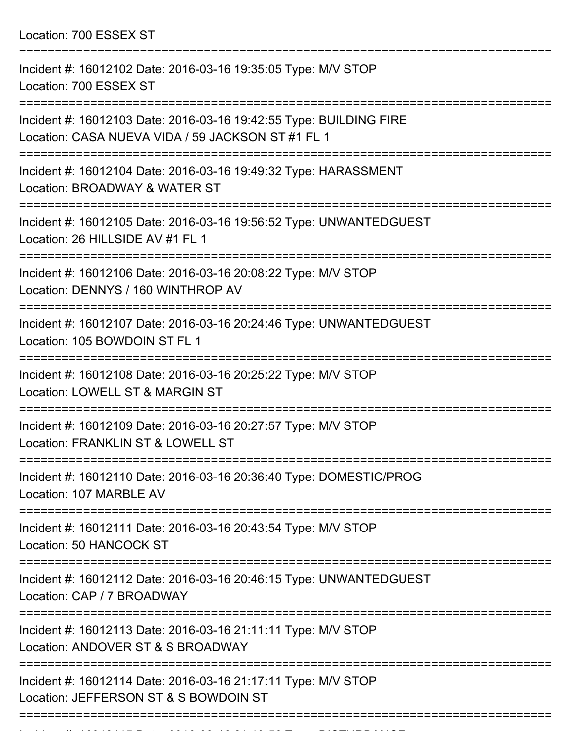Location: 700 ESSEX ST =========================================================================== Incident #: 16012102 Date: 2016-03-16 19:35:05 Type: M/V STOP Location: 700 ESSEX ST =========================================================================== Incident #: 16012103 Date: 2016-03-16 19:42:55 Type: BUILDING FIRE Location: CASA NUEVA VIDA / 59 JACKSON ST #1 FL 1 =========================================================================== Incident #: 16012104 Date: 2016-03-16 19:49:32 Type: HARASSMENT Location: BROADWAY & WATER ST =========================================================================== Incident #: 16012105 Date: 2016-03-16 19:56:52 Type: UNWANTEDGUEST Location: 26 HILLSIDE AV #1 FL 1 =========================================================================== Incident #: 16012106 Date: 2016-03-16 20:08:22 Type: M/V STOP Location: DENNYS / 160 WINTHROP AV =========================================================================== Incident #: 16012107 Date: 2016-03-16 20:24:46 Type: UNWANTEDGUEST Location: 105 BOWDOIN ST FL 1 =========================================================================== Incident #: 16012108 Date: 2016-03-16 20:25:22 Type: M/V STOP Location: LOWELL ST & MARGIN ST =========================================================================== Incident #: 16012109 Date: 2016-03-16 20:27:57 Type: M/V STOP Location: FRANKLIN ST & LOWELL ST =========================================================================== Incident #: 16012110 Date: 2016-03-16 20:36:40 Type: DOMESTIC/PROG Location: 107 MARBLE AV =========================================================================== Incident #: 16012111 Date: 2016-03-16 20:43:54 Type: M/V STOP Location: 50 HANCOCK ST =========================================================================== Incident #: 16012112 Date: 2016-03-16 20:46:15 Type: UNWANTEDGUEST Location: CAP / 7 BROADWAY =========================================================================== Incident #: 16012113 Date: 2016-03-16 21:11:11 Type: M/V STOP Location: ANDOVER ST & S BROADWAY =========================================================================== Incident #: 16012114 Date: 2016-03-16 21:17:11 Type: M/V STOP

Location: JEFFERSON ST & S BOWDOIN ST

===========================================================================

Incident #: 16012115 Date: 2016 03 16 21:19:56 Type: DISTURBANCE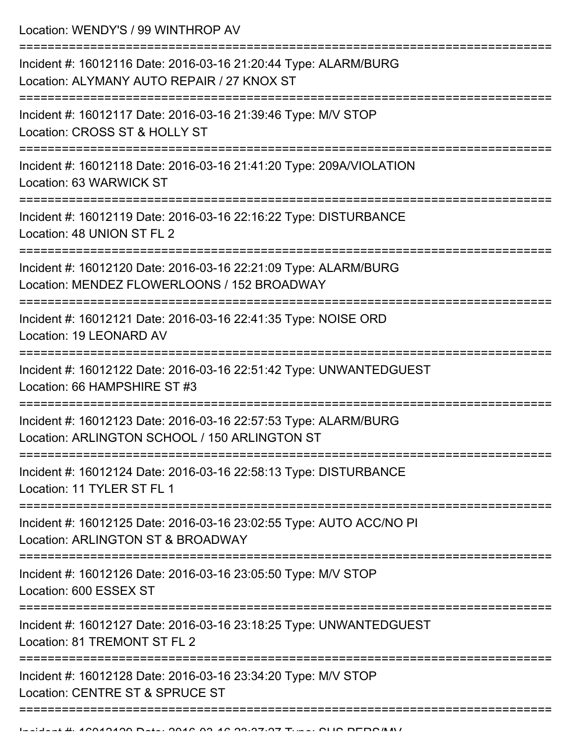Location: WENDY'S / 99 WINTHROP AV

| Incident #: 16012116 Date: 2016-03-16 21:20:44 Type: ALARM/BURG<br>Location: ALYMANY AUTO REPAIR / 27 KNOX ST    |
|------------------------------------------------------------------------------------------------------------------|
| Incident #: 16012117 Date: 2016-03-16 21:39:46 Type: M/V STOP<br>Location: CROSS ST & HOLLY ST                   |
| Incident #: 16012118 Date: 2016-03-16 21:41:20 Type: 209A/VIOLATION<br>Location: 63 WARWICK ST                   |
| Incident #: 16012119 Date: 2016-03-16 22:16:22 Type: DISTURBANCE<br>Location: 48 UNION ST FL 2                   |
| Incident #: 16012120 Date: 2016-03-16 22:21:09 Type: ALARM/BURG<br>Location: MENDEZ FLOWERLOONS / 152 BROADWAY   |
| Incident #: 16012121 Date: 2016-03-16 22:41:35 Type: NOISE ORD<br>Location: 19 LEONARD AV                        |
| Incident #: 16012122 Date: 2016-03-16 22:51:42 Type: UNWANTEDGUEST<br>Location: 66 HAMPSHIRE ST #3               |
| Incident #: 16012123 Date: 2016-03-16 22:57:53 Type: ALARM/BURG<br>Location: ARLINGTON SCHOOL / 150 ARLINGTON ST |
| Incident #: 16012124 Date: 2016-03-16 22:58:13 Type: DISTURBANCE<br>Location: 11 TYLER ST FL 1                   |
| Incident #: 16012125 Date: 2016-03-16 23:02:55 Type: AUTO ACC/NO PI<br>Location: ARLINGTON ST & BROADWAY         |
| Incident #: 16012126 Date: 2016-03-16 23:05:50 Type: M/V STOP<br>Location: 600 ESSEX ST                          |
| Incident #: 16012127 Date: 2016-03-16 23:18:25 Type: UNWANTEDGUEST<br>Location: 81 TREMONT ST FL 2               |
| Incident #: 16012128 Date: 2016-03-16 23:34:20 Type: M/V STOP<br>Location: CENTRE ST & SPRUCE ST                 |
|                                                                                                                  |